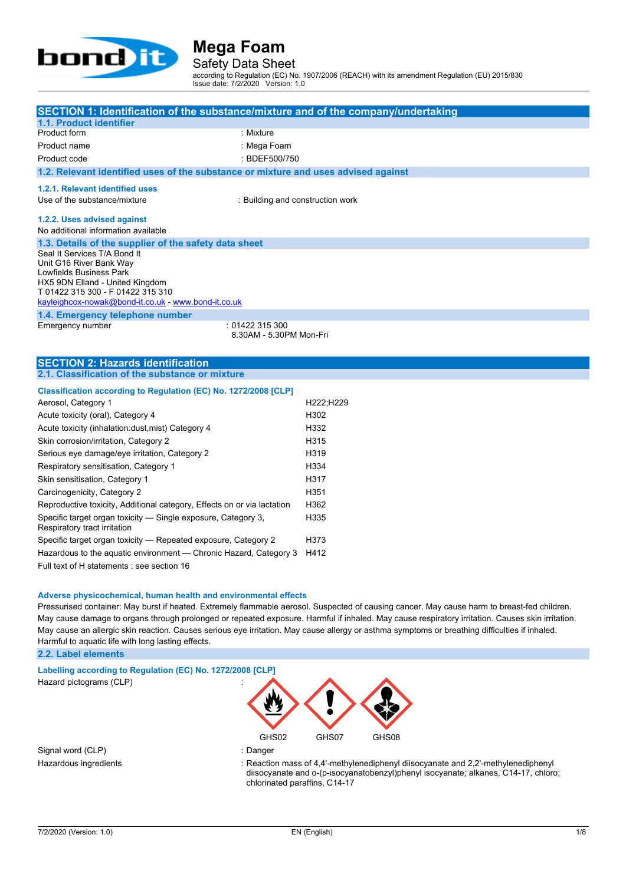

Safety Data Sheet

according to Regulation (EC) No. 1907/2006 (REACH) with its amendment Regulation (EU) 2015/830 Issue date: 7/2/2020 Version: 1.0

| SECTION 1: Identification of the substance/mixture and of the company/undertaking             |                                  |
|-----------------------------------------------------------------------------------------------|----------------------------------|
| 1.1. Product identifier<br>Product form<br>: Mixture                                          |                                  |
| Product name                                                                                  |                                  |
| : Mega Foam                                                                                   |                                  |
| : BDEF500/750<br>Product code                                                                 |                                  |
| 1.2. Relevant identified uses of the substance or mixture and uses advised against            |                                  |
| 1.2.1. Relevant identified uses                                                               |                                  |
| Use of the substance/mixture                                                                  | : Building and construction work |
| 1.2.2. Uses advised against                                                                   |                                  |
| No additional information available                                                           |                                  |
| 1.3. Details of the supplier of the safety data sheet                                         |                                  |
| Seal It Services T/A Bond It<br>Unit G16 River Bank Way                                       |                                  |
| Lowfields Business Park                                                                       |                                  |
| HX5 9DN Elland - United Kingdom                                                               |                                  |
| T 01422 315 300 - F 01422 315 310<br>kayleighcox-nowak@bond-it.co.uk - www.bond-it.co.uk      |                                  |
|                                                                                               |                                  |
| 1.4. Emergency telephone number<br>Emergency number<br>:01422315300                           |                                  |
|                                                                                               | 8.30AM - 5.30PM Mon-Fri          |
|                                                                                               |                                  |
| <b>SECTION 2: Hazards identification</b>                                                      |                                  |
| 2.1. Classification of the substance or mixture                                               |                                  |
| Classification according to Regulation (EC) No. 1272/2008 [CLP]                               |                                  |
| Aerosol, Category 1                                                                           | H222;H229                        |
| Acute toxicity (oral), Category 4                                                             | H302                             |
| Acute toxicity (inhalation: dust, mist) Category 4                                            | H332                             |
| Skin corrosion/irritation, Category 2                                                         | H315                             |
| Serious eye damage/eye irritation, Category 2                                                 | H319                             |
| Respiratory sensitisation, Category 1                                                         | H334                             |
| Skin sensitisation, Category 1                                                                | H317                             |
| Carcinogenicity, Category 2                                                                   | H351                             |
| Reproductive toxicity, Additional category, Effects on or via lactation                       | H362                             |
| Specific target organ toxicity - Single exposure, Category 3,<br>Respiratory tract irritation | H335                             |

Specific target organ toxicity - Repeated exposure, Category 2 H373 Hazardous to the aquatic environment — Chronic Hazard, Category 3 H412 Full text of H statements : see section 16

**Adverse physicochemical, human health and environmental effects**

Pressurised container: May burst if heated. Extremely flammable aerosol. Suspected of causing cancer. May cause harm to breast-fed children. May cause damage to organs through prolonged or repeated exposure. Harmful if inhaled. May cause respiratory irritation. Causes skin irritation. May cause an allergic skin reaction. Causes serious eye irritation. May cause allergy or asthma symptoms or breathing difficulties if inhaled. Harmful to aquatic life with long lasting effects.

**2.2. Label elements**



Hazardous ingredients : Reaction mass of 4,4'-methylenediphenyl diisocyanate and 2,2'-methylenediphenyl diisocyanate and o-(p-isocyanatobenzyl)phenyl isocyanate; alkanes, C14-17, chloro; chlorinated paraffins, C14-17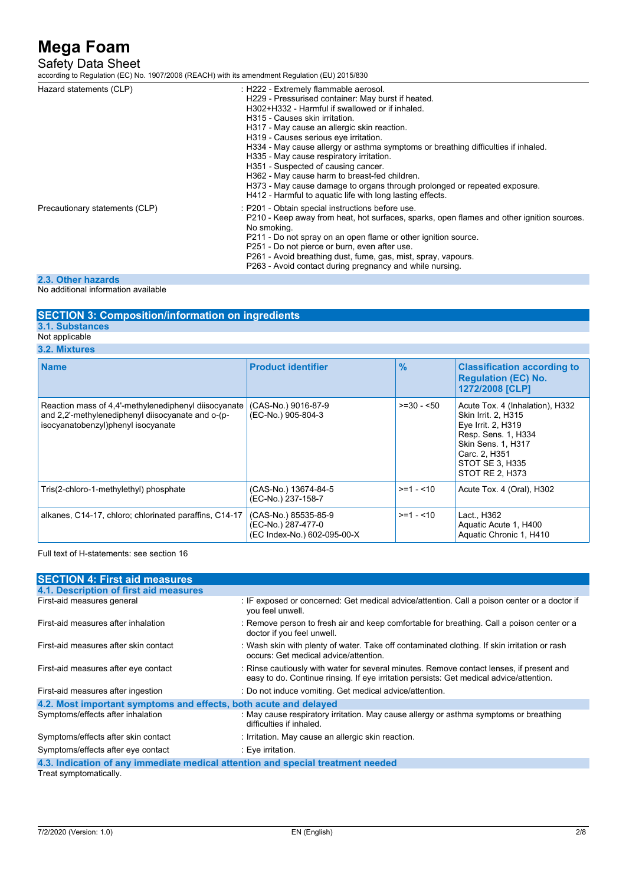### Safety Data Sheet

according to Regulation (EC) No. 1907/2006 (REACH) with its amendment Regulation (EU) 2015/830

| Hazard statements (CLP)        | : H222 - Extremely flammable aerosol.<br>H229 - Pressurised container: May burst if heated.<br>H302+H332 - Harmful if swallowed or if inhaled.<br>H315 - Causes skin irritation.<br>H317 - May cause an allergic skin reaction.<br>H319 - Causes serious eye irritation.<br>H334 - May cause allergy or asthma symptoms or breathing difficulties if inhaled.<br>H335 - May cause respiratory irritation.<br>H351 - Suspected of causing cancer.<br>H362 - May cause harm to breast-fed children.<br>H373 - May cause damage to organs through prolonged or repeated exposure.<br>H412 - Harmful to aquatic life with long lasting effects. |
|--------------------------------|---------------------------------------------------------------------------------------------------------------------------------------------------------------------------------------------------------------------------------------------------------------------------------------------------------------------------------------------------------------------------------------------------------------------------------------------------------------------------------------------------------------------------------------------------------------------------------------------------------------------------------------------|
| Precautionary statements (CLP) | : P201 - Obtain special instructions before use.<br>P210 - Keep away from heat, hot surfaces, sparks, open flames and other ignition sources.<br>No smoking.<br>P211 - Do not spray on an open flame or other ignition source.<br>P251 - Do not pierce or burn, even after use.<br>P261 - Avoid breathing dust, fume, gas, mist, spray, vapours.<br>P263 - Avoid contact during pregnancy and while nursing.                                                                                                                                                                                                                                |
|                                |                                                                                                                                                                                                                                                                                                                                                                                                                                                                                                                                                                                                                                             |

**2.3. Other hazards**

No additional information available

#### **SECTION 3: Composition/information on ingredients**

**3.1. Substances**

Not applicable

**3.2. Mixtures**

|  | <b>Name</b>                                                                                                                                     | <b>Product identifier</b>                                                 | $\frac{9}{6}$ | <b>Classification according to</b><br><b>Regulation (EC) No.</b><br>1272/2008 [CLP]                                                                                              |
|--|-------------------------------------------------------------------------------------------------------------------------------------------------|---------------------------------------------------------------------------|---------------|----------------------------------------------------------------------------------------------------------------------------------------------------------------------------------|
|  | Reaction mass of 4,4'-methylenediphenyl diisocyanate<br>and 2.2'-methylenediphenyl diisocyanate and o-(p-<br>isocyanatobenzyl)phenyl isocyanate | (CAS-No.) 9016-87-9<br>(EC-No.) 905-804-3                                 | $>=30 - 50$   | Acute Tox. 4 (Inhalation), H332<br>Skin Irrit. 2, H315<br>Eye Irrit. 2, H319<br>Resp. Sens. 1, H334<br>Skin Sens. 1, H317<br>Carc. 2. H351<br>STOT SE 3, H335<br>STOT RE 2. H373 |
|  | Tris(2-chloro-1-methylethyl) phosphate                                                                                                          | (CAS-No.) 13674-84-5<br>(EC-No.) 237-158-7                                | $>=1 - 10$    | Acute Tox. 4 (Oral), H302                                                                                                                                                        |
|  | alkanes, C14-17, chloro; chlorinated paraffins, C14-17                                                                                          | (CAS-No.) 85535-85-9<br>(EC-No.) 287-477-0<br>(EC Index-No.) 602-095-00-X | $>=1 - 10$    | Lact., H362<br>Aquatic Acute 1, H400<br>Aquatic Chronic 1, H410                                                                                                                  |

Full text of H-statements: see section 16

| <b>SECTION 4: First aid measures</b>                                                                                                                                                |  |  |
|-------------------------------------------------------------------------------------------------------------------------------------------------------------------------------------|--|--|
|                                                                                                                                                                                     |  |  |
| : IF exposed or concerned: Get medical advice/attention. Call a poison center or a doctor if<br>you feel unwell.                                                                    |  |  |
| : Remove person to fresh air and keep comfortable for breathing. Call a poison center or a<br>doctor if you feel unwell.                                                            |  |  |
| : Wash skin with plenty of water. Take off contaminated clothing. If skin irritation or rash<br>occurs: Get medical advice/attention.                                               |  |  |
| : Rinse cautiously with water for several minutes. Remove contact lenses, if present and<br>easy to do. Continue rinsing. If eye irritation persists: Get medical advice/attention. |  |  |
| : Do not induce vomiting. Get medical advice/attention.                                                                                                                             |  |  |
| 4.2. Most important symptoms and effects, both acute and delayed                                                                                                                    |  |  |
| : May cause respiratory irritation. May cause allergy or asthma symptoms or breathing<br>difficulties if inhaled.                                                                   |  |  |
| : Irritation. May cause an allergic skin reaction.                                                                                                                                  |  |  |
| $\therefore$ Eve irritation.                                                                                                                                                        |  |  |
| 4.3. Indication of any immediate medical attention and special treatment needed                                                                                                     |  |  |
|                                                                                                                                                                                     |  |  |

Treat symptomatically.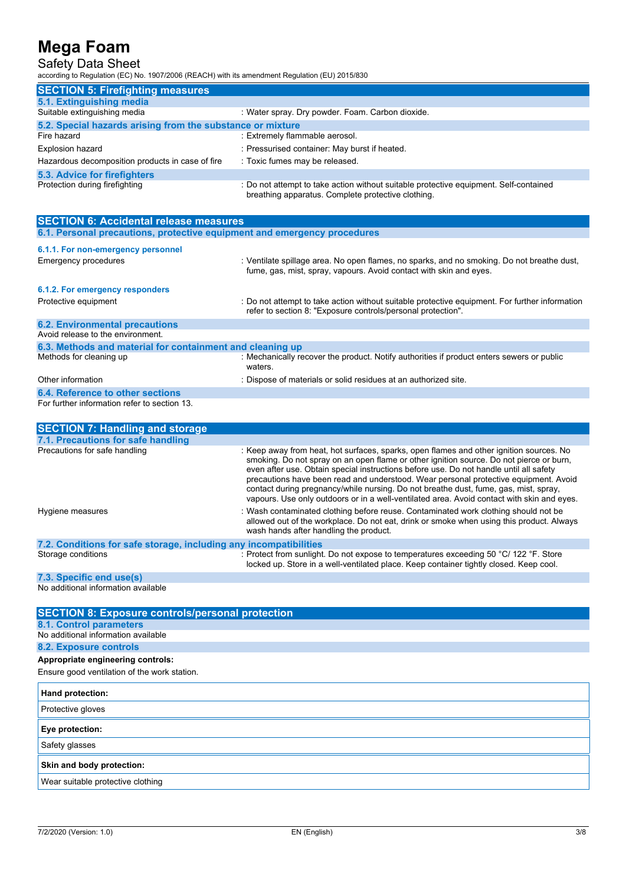## Safety Data Sheet

according to Regulation (EC) No. 1907/2006 (REACH) with its amendment Regulation (EU) 2015/830

| <b>SECTION 5: Firefighting measures</b>                    |                                                                                                                                             |  |
|------------------------------------------------------------|---------------------------------------------------------------------------------------------------------------------------------------------|--|
| 5.1. Extinguishing media                                   |                                                                                                                                             |  |
| Suitable extinguishing media                               | : Water spray. Dry powder. Foam. Carbon dioxide.                                                                                            |  |
| 5.2. Special hazards arising from the substance or mixture |                                                                                                                                             |  |
| Fire hazard                                                | : Extremely flammable aerosol.                                                                                                              |  |
| <b>Explosion hazard</b>                                    | : Pressurised container: May burst if heated.                                                                                               |  |
| Hazardous decomposition products in case of fire           | : Toxic fumes may be released.                                                                                                              |  |
| <b>5.3. Advice for firefighters</b>                        |                                                                                                                                             |  |
| Protection during firefighting                             | : Do not attempt to take action without suitable protective equipment. Self-contained<br>breathing apparatus. Complete protective clothing. |  |

| <b>SECTION 6: Accidental release measures</b>                            |                                                                                                                                                                  |  |
|--------------------------------------------------------------------------|------------------------------------------------------------------------------------------------------------------------------------------------------------------|--|
| 6.1. Personal precautions, protective equipment and emergency procedures |                                                                                                                                                                  |  |
| 6.1.1. For non-emergency personnel                                       |                                                                                                                                                                  |  |
| Emergency procedures                                                     | : Ventilate spillage area. No open flames, no sparks, and no smoking. Do not breathe dust,<br>fume, gas, mist, spray, vapours. Avoid contact with skin and eyes. |  |
| 6.1.2. For emergency responders                                          |                                                                                                                                                                  |  |
| Protective equipment                                                     | : Do not attempt to take action without suitable protective equipment. For further information<br>refer to section 8: "Exposure controls/personal protection".   |  |
| <b>6.2. Environmental precautions</b>                                    |                                                                                                                                                                  |  |
| Avoid release to the environment.                                        |                                                                                                                                                                  |  |
| 6.3. Methods and material for containment and cleaning up                |                                                                                                                                                                  |  |
| Methods for cleaning up                                                  | : Mechanically recover the product. Notify authorities if product enters sewers or public<br>waters.                                                             |  |
| Other information                                                        | : Dispose of materials or solid residues at an authorized site.                                                                                                  |  |
| 6.4. Reference to other sections                                         |                                                                                                                                                                  |  |
| For further information refer to section 13.                             |                                                                                                                                                                  |  |

| <b>SECTION 7: Handling and storage</b>                            |                                                                                                                                                                                                                                                                                                                                                                                                                                                                                                                                                            |  |
|-------------------------------------------------------------------|------------------------------------------------------------------------------------------------------------------------------------------------------------------------------------------------------------------------------------------------------------------------------------------------------------------------------------------------------------------------------------------------------------------------------------------------------------------------------------------------------------------------------------------------------------|--|
| 7.1. Precautions for safe handling                                |                                                                                                                                                                                                                                                                                                                                                                                                                                                                                                                                                            |  |
| Precautions for safe handling                                     | : Keep away from heat, hot surfaces, sparks, open flames and other ignition sources. No<br>smoking. Do not spray on an open flame or other ignition source. Do not pierce or burn,<br>even after use. Obtain special instructions before use. Do not handle until all safety<br>precautions have been read and understood. Wear personal protective equipment. Avoid<br>contact during pregnancy/while nursing. Do not breathe dust, fume, gas, mist, spray,<br>vapours. Use only outdoors or in a well-ventilated area. Avoid contact with skin and eyes. |  |
| Hygiene measures                                                  | : Wash contaminated clothing before reuse. Contaminated work clothing should not be<br>allowed out of the workplace. Do not eat, drink or smoke when using this product. Always<br>wash hands after handling the product.                                                                                                                                                                                                                                                                                                                                  |  |
| 7.2. Conditions for safe storage, including any incompatibilities |                                                                                                                                                                                                                                                                                                                                                                                                                                                                                                                                                            |  |
| Storage conditions                                                | : Protect from sunlight. Do not expose to temperatures exceeding 50 °C/ 122 °F. Store<br>locked up. Store in a well-ventilated place. Keep container tightly closed. Keep cool.                                                                                                                                                                                                                                                                                                                                                                            |  |
| 7.3. Specific end use(s)                                          |                                                                                                                                                                                                                                                                                                                                                                                                                                                                                                                                                            |  |

No additional information available

| <b>SECTION 8: Exposure controls/personal protection</b> |
|---------------------------------------------------------|
| <b>8.1. Control parameters</b>                          |
| No additional information available                     |
| 8.2. Exposure controls                                  |
| Appropriate engineering controls:                       |
| Ensure good ventilation of the work station.            |
| Hand protection:                                        |
| Protective gloves                                       |
| Eye protection:                                         |
| Safety glasses                                          |
| Skin and body protection:                               |
| Wear suitable protective clothing                       |
|                                                         |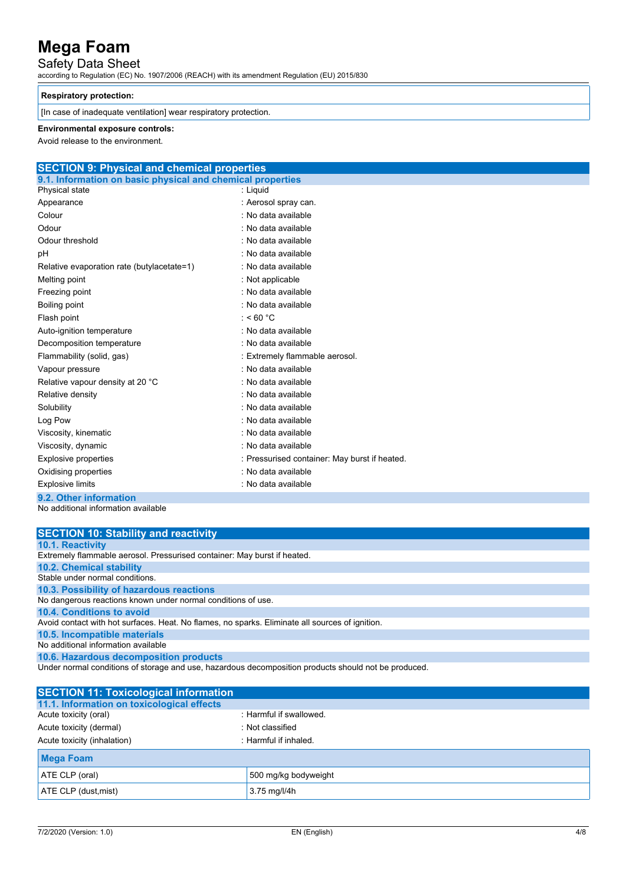### Safety Data Sheet

according to Regulation (EC) No. 1907/2006 (REACH) with its amendment Regulation (EU) 2015/830

#### **Respiratory protection:**

 $\vert$  [In case of inadequate ventilation] wear respiratory protection.

#### **Environmental exposure controls:**

Avoid release to the environment.

| <b>SECTION 9: Physical and chemical properties</b>         |                                               |  |
|------------------------------------------------------------|-----------------------------------------------|--|
| 9.1. Information on basic physical and chemical properties |                                               |  |
| Physical state                                             | : Liquid                                      |  |
| Appearance                                                 | : Aerosol spray can.                          |  |
| Colour                                                     | : No data available                           |  |
| Odour                                                      | : No data available                           |  |
| Odour threshold                                            | : No data available                           |  |
| рH                                                         | : No data available                           |  |
| Relative evaporation rate (butylacetate=1)                 | : No data available                           |  |
| Melting point                                              | : Not applicable                              |  |
| Freezing point                                             | : No data available                           |  |
| Boiling point                                              | : No data available                           |  |
| Flash point                                                | : <60 $^{\circ}$ C                            |  |
| Auto-ignition temperature                                  | : No data available                           |  |
| Decomposition temperature                                  | : No data available                           |  |
| Flammability (solid, gas)                                  | : Extremely flammable aerosol.                |  |
| Vapour pressure                                            | : No data available                           |  |
| Relative vapour density at 20 °C                           | : No data available                           |  |
| Relative density                                           | : No data available                           |  |
| Solubility                                                 | : No data available                           |  |
| Log Pow                                                    | : No data available                           |  |
| Viscosity, kinematic                                       | : No data available                           |  |
| Viscosity, dynamic                                         | : No data available                           |  |
| <b>Explosive properties</b>                                | : Pressurised container: May burst if heated. |  |
| Oxidising properties                                       | : No data available                           |  |
| <b>Explosive limits</b>                                    | : No data available                           |  |
| 9.2. Other information                                     |                                               |  |
|                                                            |                                               |  |

No additional information available

| <b>SECTION 10: Stability and reactivity</b>                                                          |
|------------------------------------------------------------------------------------------------------|
| <b>10.1. Reactivity</b>                                                                              |
| Extremely flammable aerosol. Pressurised container: May burst if heated.                             |
| <b>10.2. Chemical stability</b>                                                                      |
| Stable under normal conditions.                                                                      |
| 10.3. Possibility of hazardous reactions                                                             |
| No dangerous reactions known under normal conditions of use.                                         |
| 10.4. Conditions to avoid                                                                            |
| Avoid contact with hot surfaces. Heat. No flames, no sparks. Eliminate all sources of ignition.      |
| 10.5. Incompatible materials                                                                         |
| No additional information available                                                                  |
| 10.6. Hazardous decomposition products                                                               |
| Under normal conditions of storage and use, hazardous decomposition products should not be produced. |

| <b>SECTION 11: Toxicological information</b> |                         |
|----------------------------------------------|-------------------------|
| 11.1. Information on toxicological effects   |                         |
| Acute toxicity (oral)                        | : Harmful if swallowed. |
| Acute toxicity (dermal)                      | : Not classified        |
| Acute toxicity (inhalation)                  | : Harmful if inhaled.   |
| <b>Mega Foam</b>                             |                         |
| ATE CLP (oral)                               | 500 mg/kg bodyweight    |
| ATE CLP (dust, mist)                         | 3.75 mg/l/4h            |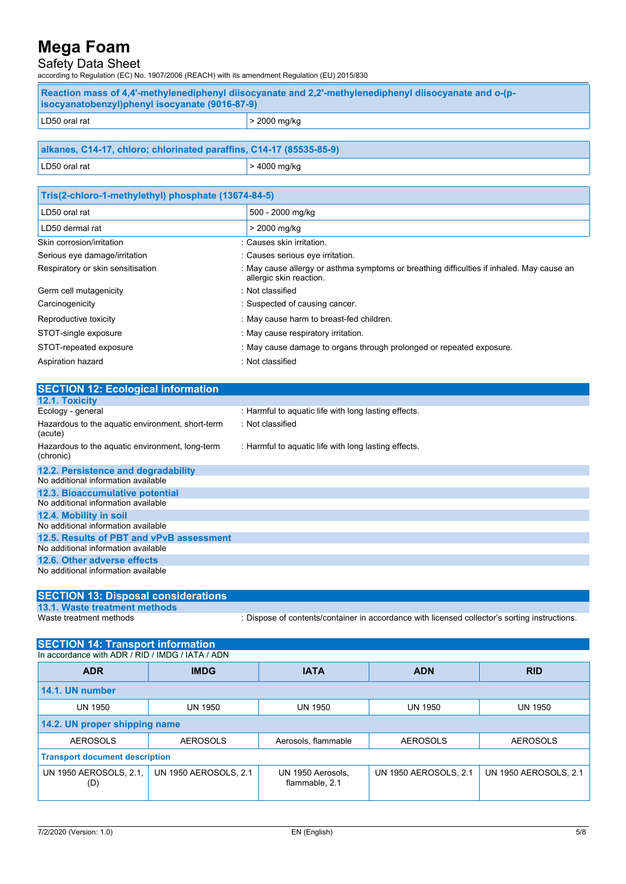### Safety Data Sheet

according to Regulation (EC) No. 1907/2006 (REACH) with its amendment Regulation (EU) 2015/830

| -Reaction mass of 4.4'-methylenediphenyl diisocyanate and 2.2'-methylenediphenyl diisocyanate and o-(p-<br>socyanatobenzyl)phenyl isocyanate (9016-87-9) |                |
|----------------------------------------------------------------------------------------------------------------------------------------------------------|----------------|
| LD50 oral rat                                                                                                                                            | $>$ 2000 mg/kg |

| alkanes, C14-17, chloro; chlorinated paraffins, C14-17 (85535-85-9) |              |  |
|---------------------------------------------------------------------|--------------|--|
| LD50 oral rat                                                       | > 4000 mg/kg |  |

| Tris(2-chloro-1-methylethyl) phosphate (13674-84-5) |                                                                                                                      |  |
|-----------------------------------------------------|----------------------------------------------------------------------------------------------------------------------|--|
| LD50 oral rat                                       | 500 - 2000 mg/kg                                                                                                     |  |
| LD50 dermal rat                                     | > 2000 mg/kg                                                                                                         |  |
| Skin corrosion/irritation                           | : Causes skin irritation.                                                                                            |  |
| Serious eye damage/irritation                       | : Causes serious eye irritation.                                                                                     |  |
| Respiratory or skin sensitisation                   | : May cause allergy or asthma symptoms or breathing difficulties if inhaled. May cause an<br>allergic skin reaction. |  |
| Germ cell mutagenicity                              | : Not classified                                                                                                     |  |
| Carcinogenicity                                     | : Suspected of causing cancer.                                                                                       |  |
| Reproductive toxicity                               | : May cause harm to breast-fed children.                                                                             |  |
| STOT-single exposure                                | : May cause respiratory irritation.                                                                                  |  |
| STOT-repeated exposure                              | : May cause damage to organs through prolonged or repeated exposure.                                                 |  |
| Aspiration hazard                                   | : Not classified                                                                                                     |  |

| <b>SECTION 12: Ecological information</b>                    |                                                      |
|--------------------------------------------------------------|------------------------------------------------------|
| 12.1. Toxicity                                               |                                                      |
| Ecology - general                                            | : Harmful to aquatic life with long lasting effects. |
| Hazardous to the aquatic environment, short-term<br>(acute)  | : Not classified                                     |
| Hazardous to the aquatic environment, long-term<br>(chronic) | : Harmful to aquatic life with long lasting effects. |
| 12.2. Persistence and degradability                          |                                                      |
| No additional information available                          |                                                      |
| 12.3. Bioaccumulative potential                              |                                                      |
| No additional information available                          |                                                      |
| 12.4. Mobility in soil                                       |                                                      |
| No additional information available                          |                                                      |
| 12.5. Results of PBT and vPvB assessment                     |                                                      |
| No additional information available                          |                                                      |
| 12.6. Other adverse effects                                  |                                                      |
| No additional information available                          |                                                      |

### **SECTION 13: Disposal considerations**

**13.1. Waste treatment methods**

Waste treatment methods : Dispose of contents/container in accordance with licensed collector's sorting instructions.

| <b>SECTION 14: Transport information</b>         |                              |                                     |                              |                              |
|--------------------------------------------------|------------------------------|-------------------------------------|------------------------------|------------------------------|
| In accordance with ADR / RID / IMDG / IATA / ADN |                              |                                     |                              |                              |
| <b>ADR</b>                                       | <b>IMDG</b>                  | <b>IATA</b>                         | <b>ADN</b>                   | <b>RID</b>                   |
| 14.1. UN number                                  |                              |                                     |                              |                              |
| UN 1950                                          | <b>UN 1950</b>               | <b>UN 1950</b>                      | <b>UN 1950</b>               | UN 1950                      |
| 14.2. UN proper shipping name                    |                              |                                     |                              |                              |
| <b>AEROSOLS</b>                                  | <b>AEROSOLS</b>              | Aerosols, flammable                 | <b>AEROSOLS</b>              | <b>AEROSOLS</b>              |
| <b>Transport document description</b>            |                              |                                     |                              |                              |
| UN 1950 AEROSOLS, 2.1,<br>(D)                    | <b>UN 1950 AEROSOLS, 2.1</b> | UN 1950 Aerosols,<br>flammable, 2.1 | <b>UN 1950 AEROSOLS, 2.1</b> | <b>UN 1950 AEROSOLS, 2.1</b> |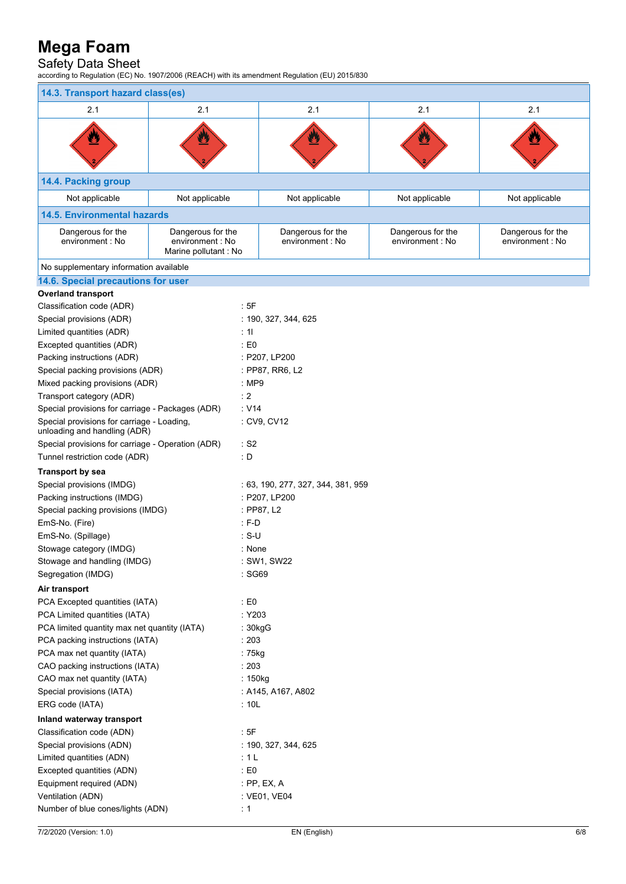### Safety Data Sheet

according to Regulation (EC) No. 1907/2006 (REACH) with its amendment Regulation (EU) 2015/830

| 14.3. Transport hazard class(es)                                           |                                                               |                                      |                                       |                                       |  |  |
|----------------------------------------------------------------------------|---------------------------------------------------------------|--------------------------------------|---------------------------------------|---------------------------------------|--|--|
| 2.1                                                                        | 2.1                                                           | 2.1                                  | 2.1                                   | 2.1                                   |  |  |
| Ø                                                                          |                                                               |                                      | U                                     |                                       |  |  |
| 14.4. Packing group                                                        |                                                               |                                      |                                       |                                       |  |  |
| Not applicable                                                             | Not applicable                                                | Not applicable                       | Not applicable                        | Not applicable                        |  |  |
| <b>14.5. Environmental hazards</b>                                         |                                                               |                                      |                                       |                                       |  |  |
| Dangerous for the<br>environment : No                                      | Dangerous for the<br>environment : No<br>Marine pollutant: No | Dangerous for the<br>environment: No | Dangerous for the<br>environment : No | Dangerous for the<br>environment : No |  |  |
| No supplementary information available                                     |                                                               |                                      |                                       |                                       |  |  |
| 14.6. Special precautions for user                                         |                                                               |                                      |                                       |                                       |  |  |
| <b>Overland transport</b>                                                  |                                                               |                                      |                                       |                                       |  |  |
| Classification code (ADR)                                                  | :5F                                                           |                                      |                                       |                                       |  |  |
| Special provisions (ADR)                                                   |                                                               | : 190, 327, 344, 625                 |                                       |                                       |  |  |
| Limited quantities (ADR)                                                   | : 11                                                          |                                      |                                       |                                       |  |  |
| Excepted quantities (ADR)                                                  | : E0                                                          |                                      |                                       |                                       |  |  |
| Packing instructions (ADR)                                                 |                                                               | : P207, LP200                        |                                       |                                       |  |  |
| Special packing provisions (ADR)                                           |                                                               | : PP87, RR6, L2                      |                                       |                                       |  |  |
| Mixed packing provisions (ADR)                                             | : MP9                                                         |                                      |                                       |                                       |  |  |
| Transport category (ADR)                                                   | : 2                                                           |                                      |                                       |                                       |  |  |
| Special provisions for carriage - Packages (ADR)                           | $\cdot$ V14                                                   |                                      |                                       |                                       |  |  |
| Special provisions for carriage - Loading,<br>unloading and handling (ADR) |                                                               | : CV9, CV12                          |                                       |                                       |  |  |
| Special provisions for carriage - Operation (ADR)                          |                                                               | $\cdot$ S2                           |                                       |                                       |  |  |
| Tunnel restriction code (ADR)                                              |                                                               | : D                                  |                                       |                                       |  |  |
| <b>Transport by sea</b>                                                    |                                                               |                                      |                                       |                                       |  |  |
| Special provisions (IMDG)                                                  |                                                               | : 63, 190, 277, 327, 344, 381, 959   |                                       |                                       |  |  |
| Packing instructions (IMDG)                                                |                                                               | : P207, LP200                        |                                       |                                       |  |  |
| Special packing provisions (IMDG)                                          |                                                               | : PP87, L2                           |                                       |                                       |  |  |
| EmS-No. (Fire)                                                             |                                                               | $: F-D$                              |                                       |                                       |  |  |
| EmS-No. (Spillage)                                                         |                                                               | $: S-U$                              |                                       |                                       |  |  |
| Stowage category (IMDG)                                                    |                                                               | : None                               |                                       |                                       |  |  |
| Stowage and handling (IMDG)                                                |                                                               | : SW1, SW22                          |                                       |                                       |  |  |
| Segregation (IMDG)                                                         |                                                               | : SG69                               |                                       |                                       |  |  |
| Air transport                                                              |                                                               |                                      |                                       |                                       |  |  |
| PCA Excepted quantities (IATA)                                             |                                                               | : E0                                 |                                       |                                       |  |  |
| PCA Limited quantities (IATA)                                              |                                                               | : Y203                               |                                       |                                       |  |  |
| PCA limited quantity max net quantity (IATA)                               |                                                               | : 30kgG                              |                                       |                                       |  |  |
| PCA packing instructions (IATA)                                            |                                                               | : 203                                |                                       |                                       |  |  |
| PCA max net quantity (IATA)                                                |                                                               | : 75kg                               |                                       |                                       |  |  |
| CAO packing instructions (IATA)                                            |                                                               | : 203                                |                                       |                                       |  |  |
| CAO max net quantity (IATA)                                                |                                                               | : 150kg                              |                                       |                                       |  |  |
| Special provisions (IATA)                                                  |                                                               | : A145, A167, A802                   |                                       |                                       |  |  |
| ERG code (IATA)<br>:10L                                                    |                                                               |                                      |                                       |                                       |  |  |
| Inland waterway transport                                                  |                                                               |                                      |                                       |                                       |  |  |
| Classification code (ADN)                                                  | :5F                                                           |                                      |                                       |                                       |  |  |
| Special provisions (ADN)                                                   |                                                               | : 190, 327, 344, 625                 |                                       |                                       |  |  |
| Limited quantities (ADN)                                                   |                                                               | :1L                                  |                                       |                                       |  |  |
| Excepted quantities (ADN)                                                  |                                                               | : E0                                 |                                       |                                       |  |  |
| Equipment required (ADN)                                                   |                                                               | : $PP$ , $EX$ , $A$                  |                                       |                                       |  |  |
| Ventilation (ADN)                                                          |                                                               | : VE01, VE04                         |                                       |                                       |  |  |
| Number of blue cones/lights (ADN)                                          | : 1                                                           |                                      |                                       |                                       |  |  |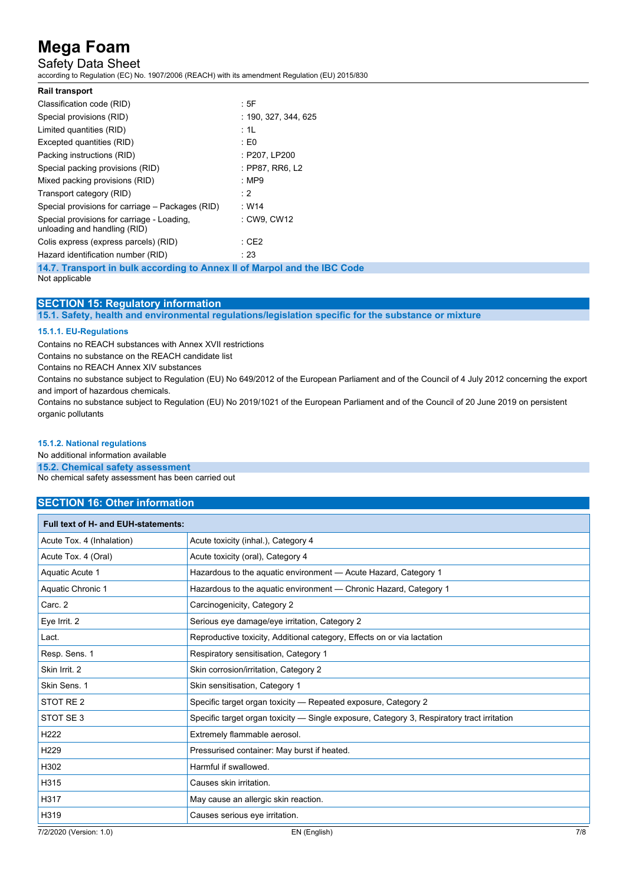## Safety Data Sheet

according to Regulation (EC) No. 1907/2006 (REACH) with its amendment Regulation (EU) 2015/830

| <b>Rail transport</b>                                                      |                      |
|----------------------------------------------------------------------------|----------------------|
| Classification code (RID)                                                  | : 5F                 |
| Special provisions (RID)                                                   | : 190. 327. 344. 625 |
| Limited quantities (RID)                                                   | : 1L                 |
| Excepted quantities (RID)                                                  | $\pm 50$             |
| Packing instructions (RID)                                                 | : P207, LP200        |
| Special packing provisions (RID)                                           | : PP87, RR6, L2      |
| Mixed packing provisions (RID)                                             | : $MP9$              |
| Transport category (RID)                                                   | : 2                  |
| Special provisions for carriage – Packages (RID)                           | : W14                |
| Special provisions for carriage - Loading,<br>unloading and handling (RID) | : CW9, CW12          |
| Colis express (express parcels) (RID)                                      | : CE2                |
| Hazard identification number (RID)                                         | : 23                 |
|                                                                            |                      |

**14.7. Transport in bulk according to Annex II of Marpol and the IBC Code** Not applicable

### **SECTION 15: Regulatory information**

**15.1. Safety, health and environmental regulations/legislation specific for the substance or mixture**

#### **15.1.1. EU-Regulations**

Contains no REACH substances with Annex XVII restrictions

Contains no substance on the REACH candidate list

Contains no REACH Annex XIV substances

Contains no substance subject to Regulation (EU) No 649/2012 of the European Parliament and of the Council of 4 July 2012 concerning the export and import of hazardous chemicals.

Contains no substance subject to Regulation (EU) No 2019/1021 of the European Parliament and of the Council of 20 June 2019 on persistent organic pollutants

#### **15.1.2. National regulations**

No additional information available

### **15.2. Chemical safety assessment**

No chemical safety assessment has been carried out

#### **SECTION 16: Other information**

| Full text of H- and EUH-statements: |                                                                                            |     |
|-------------------------------------|--------------------------------------------------------------------------------------------|-----|
| Acute Tox. 4 (Inhalation)           | Acute toxicity (inhal.), Category 4                                                        |     |
| Acute Tox. 4 (Oral)                 | Acute toxicity (oral), Category 4                                                          |     |
| Aquatic Acute 1                     | Hazardous to the aguatic environment - Acute Hazard, Category 1                            |     |
| Aquatic Chronic 1                   | Hazardous to the aquatic environment - Chronic Hazard, Category 1                          |     |
| Carc. 2                             | Carcinogenicity, Category 2                                                                |     |
| Eye Irrit. 2                        | Serious eye damage/eye irritation, Category 2                                              |     |
| Lact.                               | Reproductive toxicity, Additional category, Effects on or via lactation                    |     |
| Resp. Sens. 1                       | Respiratory sensitisation, Category 1                                                      |     |
| Skin Irrit. 2                       | Skin corrosion/irritation, Category 2                                                      |     |
| Skin Sens. 1                        | Skin sensitisation, Category 1                                                             |     |
| STOT RE <sub>2</sub>                | Specific target organ toxicity — Repeated exposure, Category 2                             |     |
| STOT SE 3                           | Specific target organ toxicity — Single exposure, Category 3, Respiratory tract irritation |     |
| H <sub>222</sub>                    | Extremely flammable aerosol.                                                               |     |
| H <sub>229</sub>                    | Pressurised container: May burst if heated.                                                |     |
| H302                                | Harmful if swallowed.                                                                      |     |
| H315                                | Causes skin irritation.                                                                    |     |
| H317                                | May cause an allergic skin reaction.                                                       |     |
| H319                                | Causes serious eye irritation.                                                             |     |
| 7/2/2020 (Version: 1.0)             | EN (English)                                                                               | 7/8 |